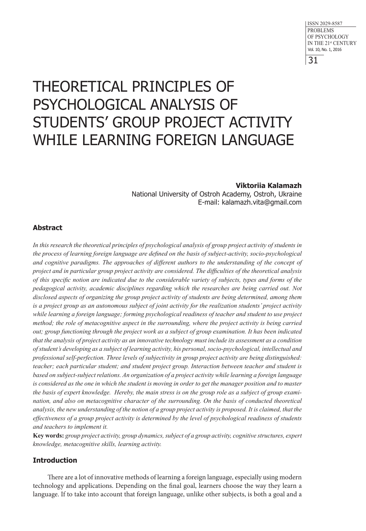# THEORETICAL PRINCIPLES OF PSYCHOLOGICAL ANALYSIS OF STUDENTS' GROUP PROJECT ACTIVITY WHILE LEARNING FOREIGN LANGUAGE

## **Viktoriia Kalamazh**

National University of Ostroh Academy, Ostroh, Ukraine E-mail: kalamazh.vita@gmail.com

# **Abstract**

*In this research the theoretical principles of psychological analysis of group project activity of students in the process of learning foreign language are defined on the basis of subject-activity, socio-psychological and cognitive paradigms. The approaches of different authors to the understanding of the concept of project and in particular group project activity are considered. The difficulties of the theoretical analysis of this specific notion are indicated due to the considerable variety of subjects, types and forms of the pedagogical activity, academic disciplines regarding which the researches are being carried out. Not disclosed aspects of organizing the group project activity of students are being determined, among them is a project group as an autonomous subject of joint activity for the realization students' project activity while learning a foreign language; forming psychological readiness of teacher and student to use project method; the role of metacognitive aspect in the surrounding, where the project activity is being carried out; group functioning through the project work as a subject of group examination. It has been indicated that the analysis of project activity as an innovative technology must include its assessment as a condition of student's developing as a subject of learning activity, his personal, socio-psychological, intellectual and professional self-perfection. Three levels of subjectivity in group project activity are being distinguished: teacher; each particular student; and student project group. Interaction between teacher and student is based on subject-subject relations. An organization of a project activity while learning a foreign language is considered as the one in which the student is moving in order to get the manager position and to master the basis of expert knowledge. Hereby, the main stress is on the group role as a subject of group examination, and also on metacognitive character of the surrounding. On the basis of conducted theoretical analysis, the new understanding of the notion of a group project activity is proposed. It is claimed, that the effectiveness of a group project activity is determined by the level of psychological readiness of students and teachers to implement it.* 

**Key words:** *group project activity, group dynamics, subject of a group activity, cognitive structures, expert knowledge, metacognitive skills, learning activity.* 

# **Introduction**

There are a lot of innovative methods of learning a foreign language, especially using modern technology and applications. Depending on the final goal, learners choose the way they learn a language. If to take into account that foreign language, unlike other subjects, is both a goal and a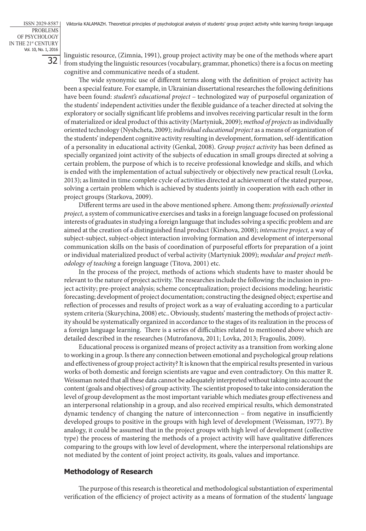linguistic resource, (Zimnia, 1991), group project activity may be one of the methods where apart from studying the linguistic resources (vocabulary, grammar, phonetics) there is a focus on meeting cognitive and communicative needs of a student.

The wide synonymic use of different terms along with the definition of project activity has been a special feature. For example, in Ukrainian dissertational researches the following definitions have been found: *student's educational project* – technologized way of purposeful organization of the students' independent activities under the flexible guidance of a teacher directed at solving the exploratory or socially significant life problems and involves receiving particular result in the form of materialized or ideal product of this activity (Martyniuk, 2009); *method of projects* as individually oriented technology (Nyshcheta, 2009); *individual educational project* as a means of organization of the students' independent cognitive activity resulting in development, formation, self-identification of a personality in educational activity (Genkal, 2008). *Group project activity* has been defined as specially organized joint activity of the subjects of education in small groups directed at solving a certain problem, the purpose of which is to receive professional knowledge and skills, and which is ended with the implementation of actual subjectively or objectively new practical result (Lovka, 2013); as limited in time complete cycle of activities directed at achievement of the stated purpose, solving a certain problem which is achieved by students jointly in cooperation with each other in project groups (Starkova, 2009).

Different terms are used in the above mentioned sphere. Among them: *professionally oriented project,* a system of communicative exercises and tasks in a foreign language focused on professional interests of graduates in studying a foreign language that includes solving a specific problem and are aimed at the creation of a distinguished final product (Kirshova, 2008); *interactive project,* a way of subject-subject, subject-object interaction involving formation and development of interpersonal communication skills on the basis of coordination of purposeful efforts for preparation of a joint or individual materialized product of verbal activity (Martyniuk 2009); *modular and project methodology of teaching* a foreign language (Titova, 2001) etc.

In the process of the project, methods of actions which students have to master should be relevant to the nature of project activity. The researches include the following: the inclusion in project activity; pre-project analysis; scheme conceptualization; project decisions modeling; heuristic forecasting; development of project documentation; constructing the designed object; expertise and reflection of processes and results of project work as a way of evaluating according to a particular system criteria (Skurychina, 2008) etc.. Obviously, students' mastering the methods of project activity should be systematically organized in accordance to the stages of its realization in the process of a foreign language learning. There is a series of difficulties related to mentioned above which are detailed described in the researches (Mutrofanova, 2011; Lovka, 2013; Fragoulis, 2009).

Educational process is organized means of project activity as a transition from working alone to working in a group. Is there any connection between emotional and psychological group relations and effectiveness of group project activity? It is known that the empirical results presented in various works of both domestic and foreign scientists are vague and even contradictory. On this matter R. Weissman noted that all these data cannot be adequately interpreted without taking into account the content (goals and objectives) of group activity. The scientist proposed to take into consideration the level of group development as the most important variable which mediates group effectiveness and an interpersonal relationship in a group, and also received empirical results, which demonstrated dynamic tendency of changing the nature of interconnection – from negative in insufficiently developed groups to positive in the groups with high level of development (Weissman, 1977). By analogy, it could be assumed that in the project groups with high level of development (collective type) the process of mastering the methods of a project activity will have qualitative differences comparing to the groups with low level of development, where the interpersonal relationships are not mediated by the content of joint project activity, its goals, values and importance.

#### **Methodology of Research**

The purpose of this research is theoretical and methodological substantiation of experimental verification of the efficiency of project activity as a means of formation of the students' language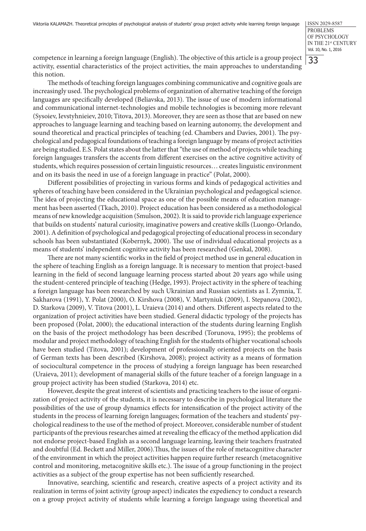33

competence in learning a foreign language (English). The objective of this article is a group project activity, essential characteristics of the project activities, the main approaches to understanding this notion.

The methods of teaching foreign languages combining communicative and cognitive goals are increasingly used. The psychological problems of organization of alternative teaching of the foreign languages are specifically developed (Beliavska, 2013). The issue of use of modern informational and communicational internet-technologies and mobile technologies is becoming more relevant (Sysoiev, Ievstyhnieiev, 2010; Titova, 2013). Moreover, they are seen as those that are based on new approaches to language learning and teaching based on learning autonomy, the development and sound theoretical and practical principles of teaching (ed. Chambers and Davies, 2001). The psychological and pedagogical foundations of teaching a foreign language by means of project activities are being studied. E.S. Polat states about the latter that "the use of method of projects while teaching foreign languages transfers the accents from different exercises on the active cognitive activity of students, which requires possession of certain linguistic resources… creates linguistic environment and on its basis the need in use of a foreign language in practice" (Polat, 2000).

Different possibilities of projecting in various forms and kinds of pedagogical activities and spheres of teaching have been considered in the Ukrainian psychological and pedagogical science. The idea of projecting the educational space as one of the possible means of education management has been asserted (Tkach, 2010). Project education has been considered as a methodological means of new knowledge acquisition (Smulson, 2002). It is said to provide rich language experience that builds on students' natural curiosity, imaginative powers and creative skills (Luongo-Orlando, 2001). A definition of psychological and pedagogical projecting of educational process in secondary schools has been substantiated (Kobernyk, 2000). The use of individual educational projects as a means of students' independent cognitive activity has been researched (Genkal, 2008).

There are not many scientific works in the field of project method use in general education in the sphere of teaching English as a foreign language. It is necessary to mention that project-based learning in the field of second language learning process started about 20 years ago while using the student-centered principle of teaching (Hedge, 1993). Project activity in the sphere of teaching a foreign language has been researched by such Ukrainian and Russian scientists as I. Zymnia, T. Sakharova (1991), Y. Polat (2000), O. Kirshova (2008), V. Martyniuk (2009), I. Stepanova (2002), D. Starkova (2009), V. Titova (2001), L. Uraieva (2014) and others. Different aspects related to the organization of project activities have been studied. General didactic typology of the projects has been proposed (Polat, 2000); the educational interaction of the students during learning English on the basis of the project methodology has been described (Torunova, 1995); the problems of modular and project methodology of teaching English for the students of higher vocational schools have been studied (Titova, 2001); development of professionally oriented projects on the basis of German texts has been described (Kirshova, 2008); project activity as a means of formation of sociocultural competence in the process of studying a foreign language has been researched (Uraieva, 2011); development of managerial skills of the future teacher of a foreign language in a group project activity has been studied (Starkova, 2014) etc.

However, despite the great interest of scientists and practicing teachers to the issue of organization of project activity of the students, it is necessary to describe in psychological literature the possibilities of the use of group dynamics effects for intensification of the project activity of the students in the process of learning foreign languages; formation of the teachers and students' psychological readiness to the use of the method of project. Moreover, considerable number of student participants of the previous researches aimed at revealing the efficacy of the method application did not endorse project-based English as a second language learning, leaving their teachers frustrated and doubtful (Ed. Beckett and Miller, 2006).Thus, the issues of the role of metacognitive character of the environment in which the project activities happen require further research (metacognitive control and monitoring, metacognitive skills etc.). The issue of a group functioning in the project activities as a subject of the group expertise has not been sufficiently researched.

Innovative, searching, scientific and research, creative aspects of a project activity and its realization in terms of joint activity (group aspect) indicates the expediency to conduct a research on a group project activity of students while learning a foreign language using theoretical and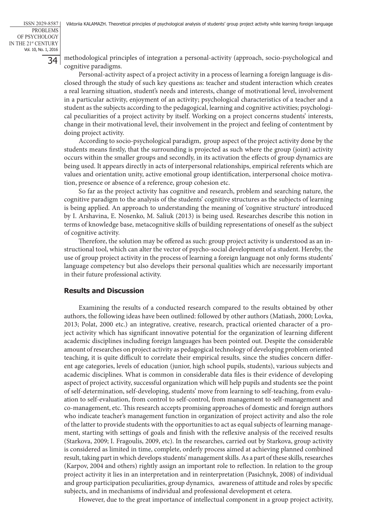methodological principles of integration a personal-activity (approach, socio-psychological and cognitive paradigms.

Personal-activity aspect of a project activity in a process of learning a foreign language is disclosed through the study of such key questions as: teacher and student interaction which creates a real learning situation, student's needs and interests, change of motivational level, involvement in a particular activity, enjoyment of an activity; psychological characteristics of a teacher and a student as the subjects according to the pedagogical, learning and cognitive activities; psychological peculiarities of a project activity by itself. Working on a project concerns students' interests, change in their motivational level, their involvement in the project and feeling of contentment by doing project activity.

According to socio-psychological paradigm, group aspect of the project activity done by the students means firstly, that the surrounding is projected as such where the group (joint) activity occurs within the smaller groups and secondly, in its activation the effects of group dynamics are being used. It appears directly in acts of interpersonal relationships, empirical referents which are values and orientation unity, active emotional group identification, interpersonal choice motivation, presence or absence of a reference, group cohesion etc.

So far as the project activity has cognitive and research, problem and searching nature, the cognitive paradigm to the analysis of the students' cognitive structures as the subjects of learning is being applied. An approach to understanding the meaning of 'cognitive structure' introduced by I. Arshavina, E. Nosenko, M. Saliuk (2013) is being used. Researches describe this notion in terms of knowledge base, metacognitive skills of building representations of oneself as the subject of cognitive activity.

Therefore, the solution may be offered as such: group project activity is understood as an instructional tool, which can alter the vector of psycho-social development of a student. Hereby, the use of group project activity in the process of learning a foreign language not only forms students' language competency but also develops their personal qualities which are necessarily important in their future professional activity.

#### **Results and Discussion**

Examining the results of a conducted research compared to the results obtained by other authors, the following ideas have been outlined: followed by other authors (Matiash, 2000; Lovka, 2013; Polat, 2000 etc.) an integrative, creative, research, practical oriented character of a project activity which has significant innovative potential for the organization of learning different academic disciplines including foreign languages has been pointed out. Despite the considerable amount of researches on project activity as pedagogical technology of developing problem oriented teaching, it is quite difficult to correlate their empirical results, since the studies concern different age categories, levels of education (junior, high school pupils, students), various subjects and academic disciplines. What is common in considerable data files is their evidence of developing aspect of project activity, successful organization which will help pupils and students see the point of self-determination, self-developing, students' move from learning to self-teaching, from evaluation to self-evaluation, from control to self-control, from management to self-management and co-management, etc. This research accepts promising approaches of domestic and foreign authors who indicate teacher's management function in organization of project activity and also the role of the latter to provide students with the opportunities to act as equal subjects of learning management, starting with settings of goals and finish with the reflexive analysis of the received results (Starkovа, 2009; I. Fragoulis, 2009, etc). In the researches, carried out by Starkova, group activity is considered as limited in time, complete, orderly process aimed at achieving planned combined result, taking part in which develops students' management skills. As a part of these skills, researches (Karpov, 2004 and others) rightly assign an important role to reflection. In relation to the group project activity it lies in an interpretation and in reinterpretation (Pasichnyk, 2008) of individual and group participation peculiarities, group dynamics, awareness of attitude and roles by specific subjects, and in mechanisms of individual and professional development et cetera.

However, due to the great importance of intellectual component in a group project activity,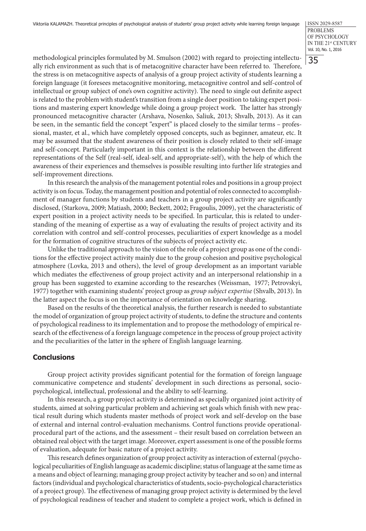35

methodological principles formulated by M. Smulson (2002) with regard to projecting intellectually rich environment as such that is of metacognitive character have been referred to. Therefore, the stress is on metacognitive aspects of analysis of a group project activity of students learning a foreign language (it foresees metacognitive monitoring, metacognitive control and self-control of intellectual or group subject of one's own cognitive activity). The need to single out definite aspect is related to the problem with student's transition from a single doer position to taking expert positions and mastering expert knowledge while doing a group project work. The latter has strongly pronounced metacognitive character (Arshava, Nosenko, Saliuk, 2013; Shvalb, 2013). As it can be seen, in the semantic field the concept "expert" is placed closely to the similar terms - professional, master, et al., which have completely opposed concepts, such as beginner, amateur, etc. It may be assumed that the student awareness of their position is closely related to their self-image and self-concept. Particularly important in this context is the relationship between the different representations of the Self (real-self, ideal-self, and appropriate-self), with the help of which the awareness of their experiences and themselves is possible resulting into further life strategies and self-improvement directions.

In this research the analysis of the management potential roles and positions in a group project activity is on focus. Today, the management position and potential of roles connected to accomplishment of manager functions by students and teachers in a group project activity are significantly disclosed, (Starkova, 2009; Matiash, 2000; Beckett, 2002; Fragoulis, 2009), yet the characteristic of expert position in a project activity needs to be specified. In particular, this is related to understanding of the meaning of expertise as a way of evaluating the results of project activity and its correlation with control and self-control processes, peculiarities of expert knowledge as a model for the formation of cognitive structures of the subjects of project activity etc.

Unlike the traditional approach to the vision of the role of a project group as one of the conditions for the effective project activity mainly due to the group cohesion and positive psychological atmosphere (Lovka, 2013 and others), the level of group development as an important variable which mediates the effectiveness of group project activity and an interpersonal relationship in a group has been suggested to examine according to the researches (Weissman, 1977; Petrovskyi, 1977) together with examining students' project group as *group subject expertise* (Shvalb, 2013). In the latter aspect the focus is on the importance of orientation on knowledge sharing.

Based on the results of the theoretical analysis, the further research is needed to substantiate the model of organization of group project activity of students, to define the structure and contents of psychological readiness to its implementation and to propose the methodology of empirical research of the effectiveness of a foreign language competence in the process of group project activity and the peculiarities of the latter in the sphere of English language learning.

### **Conclusions**

Group project activity provides significant potential for the formation of foreign language communicative competence and students' development in such directions as personal, sociopsychological, intellectual, professional and the ability to self-learning.

In this research, a group project activity is determined as specially organized joint activity of students, aimed at solving particular problem and achieving set goals which finish with new practical result during which students master methods of project work and self-develop on the base of external and internal control-evaluation mechanisms. Control functions provide operationalprocedural part of the actions, and the assessment – their result based on correlation between an obtained real object with the target image. Moreover, expert assessment is one of the possible forms of evaluation, adequate for basic nature of a project activity.

This research defines organization of group project activity as interaction of external (psychological peculiarities of English language as academic discipline; status of language at the same time as a means and object of learning; managing group project activity by teacher and so on) and internal factors (individual and psychological characteristics of students, socio-psychological characteristics of a project group). The effectiveness of managing group project activity is determined by the level of psychological readiness of teacher and student to complete a project work, which is defined in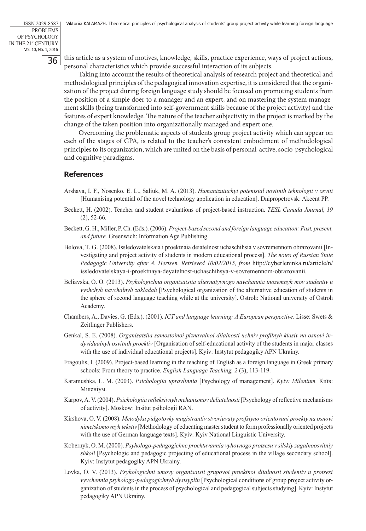this article as a system of motives, knowledge, skills, practice experience, ways of project actions, personal characteristics which provide successful interaction of its subjects.

Taking into account the results of theoretical analysis of research project and theoretical and methodological principles of the pedagogical innovation expertise, it is considered that the organization of the project during foreign language study should be focused on promoting students from the position of a simple doer to a manager and an expert, and on mastering the system management skills (being transformed into self-government skills because of the project activity) and the features of expert knowledge. The nature of the teacher subjectivity in the project is marked by the change of the taken position into organizationally managed and expert one.

Overcoming the problematic aspects of students group project activity which can appear on each of the stages of GPA, is related to the teacher's consistent embodiment of methodological principles to its organization, which are united on the basis of personal-active, socio-psychological and cognitive paradigms.

## **References**

- Arshava, I. F., Nosenko, E. L., Saliuk, M. A. (2013). *Humanizuiuchyi potentsial novitnih tehnologii v osviti*  [Humanising potential of the novel technology application in education]. Dnipropetrovsk: Akcent PP.
- Beckett, H. (2002). Teacher and student evaluations of project-based instruction. *TESL Canada Journal, 19* (2), 52-66.
- Beckett, G. H., Miller, P. Ch. (Eds.). (2006). *Project-based second and foreign language education: Past, present, and future.* Greenwich: Information Age Publishing.
- Belova, T. G. (2008). Issledovatelskaia i proektnaia deiatelnost uchaschihsia v sovremennom obrazovanii [Investigating and project activity of students in modern educational process]. *The notes of Russian State Pedagogic University after A. Hertsen. Retrieved 10/02/2015, from* http://cyberleninka.ru/article/n/ issledovatelskaya-i-proektnaya-deyatelnost-uchaschihsya-v-sovremennom-obrazovanii.
- Beliavska, O. O. (2013). *Psyhologichna organisatsiia alternatyvnogo navchannia inozemnyh mov studentiv u vyshchyh navchalnyh zakladah* [Psychological organization of the alternative education of students in the sphere of second language teaching while at the university]. Ostroh: National university of Ostroh Academy.
- Chambers, A., Davies, G. (Eds.). (2001). *ICT and language learning: A European perspective*. Lisse: Swets & Zeitlinger Publishers.
- Genkal, S. E. (2008). *Organisatsiia samostoinoi piznavalnoi diialnosti uchniv profilnyh klasiv na osnovi indyvidualnyh osvitnih proektiv* [Organisation of self-educational activity of the students in major classes with the use of individual educational projects]. Kyiv: Instytut pedagogiky APN Ukrainy.
- Fragoulis, I. (2009). Project-based learning in the teaching of English as a foreign language in Greek primary schools: From theory to practice. *English Language Teaching, 2* (3), 113-119.
- Karamushka, L. M. (2003). *Psichologiia upravlinnia* [Psychology of management]. *Kyiv: Milenium.* Київ: Міленіум.
- Karpov, A. V. (2004). *Psichologiia refleksivnyh mehanismov deliatelnosti* [Psychology of reflective mechanisms of activity]. Moskow: Insitut psihologii RAN.
- Kirshova, O. V. (2008). *Metodyka pidgotovky magistrantiv stvoriuvaty profsiyno orientovani proekty na osnovi nimetskomovnyh tekstiv* [Methodology of educating master student to form professionally oriented projects with the use of German language texts]. Kyiv: Kyiv National Linguistic University.
- Kobernyk, O. M. (2000). *Psyhologo-pedagogichne proektuvannia vyhovnogo protsesu v silskiy zagalnoosvitniy shkoli* [Psychologic and pedagogic projecting of educational process in the village secondary school]. Kyiv: Instytut pedagogiky APN Ukrainy.
- Lovka, O. V. (2013). *Psyhologichni umovy organisatsii grupovoi proektnoi diialnosti studentiv u protsesi vyvchennia psyhologo-pedagogichnyh dystsyplin* [Psychological conditions of group project activity organization of students in the process of psychological and pedagogical subjects studying]. Kyiv: Instytut pedagogiky APN Ukrainy.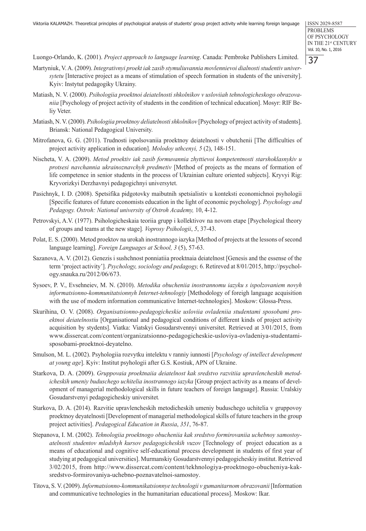Luongo-Orlando, K. (2001). *Project approach to language learning*. Canada: Pembroke Publishers Limited.

- Martyniuk, V. A. (2009). *Integrativnyi proekt iak zasib stymuliuvannia movlennievoi dialnosti studentiv universytetu* [Interactive project as a means of stimulation of speech formation in students of the university]. Kyiv: Instytut pedagogiky Ukrainy.
- Matiash, N. V. (2000). *Psihologiia proektnoi deiatelnosti shkolnikov v usloviiah tehnologicheskogo obrazovaniia* [Psychology of project activity of students in the condition of technical education]. Mosyr: RIF Beliy Veter.
- Matiash, N. V. (2000). *Psihologiia proektnoy deliatelnosti shkolnikov* [Psychology of project activity of students]. Briansk: National Pedagogical University.
- Mitrofanova, G. G. (2011). Trudnosti ispolsovaniia proektnoy deiatelnosti v obutchenii [The difficulties of project activity application in education]. *Molodoy uthcenyi, 5* (2), 148-151.
- Nischeta, V. A. (2009). *Metod proektiv iak zasib formuvannia zhyttievoi kompetentnosti starshoklasnykiv u protsesi navchannia ukrainoznavchyh predmetiv* [Method of projects as the means of formation of life competence in senior students in the process of Ukrainian culture oriented subjects]. Kryvyi Rig: Kryvorizkyi Derzhavnyi pedagogichnyi universytet.
- Pasichnyk, I. D. (2008). Spetsifika pidgotovky maibutnih spetsialistiv u konteksti economichnoi psyhologii [Specific features of future economists education in the light of economic psychology]. *Psychology and Pedagogy. Ostroh: National university of Ostroh Academy,* 10, 4-12.
- Petrovskyi, A.V. (1977). Psihologicheskaia teoriia grupp i kollektivov na novom etape [Psychological theory of groups and teams at the new stage]*. Voprosy Psihologii*, *5*, 37-43.
- Polat, E. S. (2000). Metod proektov na urokah inostrannogo iazyka [Method of projects at the lessons of second language learning]. *Foreign Languages at School, 3* (5), 57-63.
- Sazanova, A. V. (2012). Genezis i sushchnost ponniatiia proektnaia deiatelnost [Genesis and the essense of the term 'project activity']. *Psychology, sociology and pedagogy,* 6. Retireved at 8/01/2015, http://psychology.snauka.ru/2012/06/673.
- Sysoev, P. V., Evsehneiev, M. N. (2010). *Metodika obucheniia inostrannomu iazyku s ispolzovaniem novyh informatsionno-kommunitatsionnyh Internet-tehnologiy* [Methodology of foreigh language acquisition with the use of modern information communicative Internet-technologies]. Moskow: Glossa-Press.
- Skurihina, O. V. (2008). *Organisatsionno-pedagogicheskie usloviia ovladeniia studentami sposobami proektnoi deiatelnostiu* [Organisational and pedagogical conditions of different kinds of project activity acquisition by stydents]. Viatka: Viatskyi Gosudarstvennyi universitet. Retrieved at 3/01/2015, from www.dissercat.com/content/organizatsionno-pedagogicheskie-usloviya-ovladeniya-studentamisposobami-proektnoi-deyatelno.
- Smulson, M. L. (2002). Psyhologiia rozvytku intelektu v ranniy iunnosti [*Psychology of intellect development at young age*]. Kyiv: Institut psyhologii after G.S. Kostiuk, APN of Ukraine.
- Starkova, D. A. (2009). *Gruppovaia proektnaiia deiatelnost kak sredstvo razvitiia upravlencheskih metodicheskih umeniy buduschego uchitelia inostrannogo iazyka* [Group project activity as a means of development of managerial methodological skills in future teachers of foreign language]. Russia: Uralskiy Gosudarstvenyi pedagogicheskiy universitet*.*
- Starkova, D. A. (2014). Razvitie upravlencheskih metodicheskih umeniy buduschego uchitelia v gruppovoy proektnoy deyatelnosti [Development of managerial methodological skills of future teachers in the group project activities]. *Pedagogical Education in Russia*, *351*, 76-87.
- Stepanova, I. M. (2002). *Tehnologiia proektnogo obucheniia kak sredstvo formirovaniia uchebnoy samostoyatelnosti studentov mladshyh kursov pedagogicheskih vuzov* [Technology of project education as a means of educational and cognitive self-educational process development in students of first year of studying at pedagogical universities]. Murmanskiy Gosudarstvennyi pedagogicheskiy institut. Retrieved 3/02/2015, from http://www.dissercat.com/content/tekhnologiya-proektnogo-obucheniya-kaksredstvo-formirovaniya-uchebno-poznavatelnoi-samostoy.
- Titova, S. V. (2009). *Informatsionno-kommunikatsionnye technologii v gumanitarnom obrazovanii* [Information and communicative technologies in the humanitarian educational process]. Moskow: Ikar.